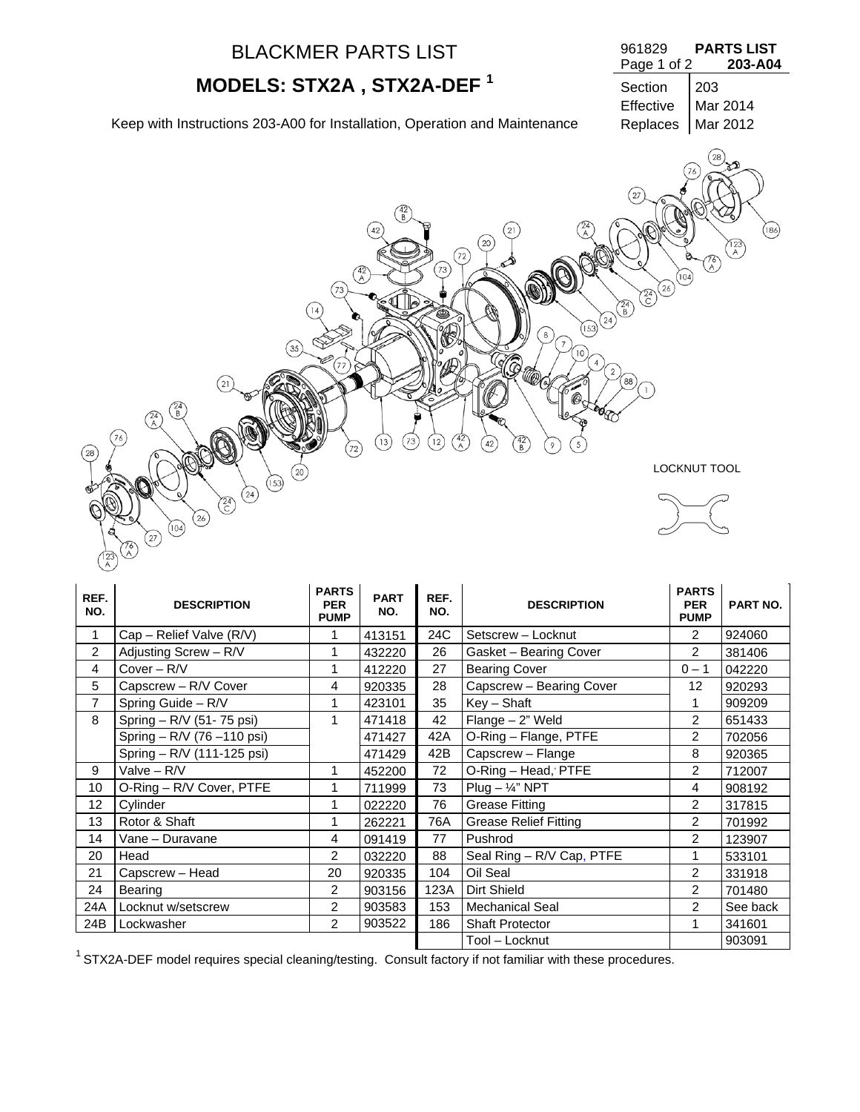|      | <b>BLACKMER PARTS LIST</b>                                                                         |                        |                         |                                                     |                                                                                                                          | 961829<br>Page 1 of 2                                          |                   | <b>PARTS LIST</b><br>203-A04 |
|------|----------------------------------------------------------------------------------------------------|------------------------|-------------------------|-----------------------------------------------------|--------------------------------------------------------------------------------------------------------------------------|----------------------------------------------------------------|-------------------|------------------------------|
|      | MODELS: STX2A, STX2A-DEF <sup>1</sup>                                                              |                        |                         |                                                     |                                                                                                                          | Section<br>Effective                                           | 203               | Mar 2014                     |
|      | Keep with Instructions 203-A00 for Installation, Operation and Maintenance                         |                        |                         |                                                     |                                                                                                                          | Replaces                                                       |                   | Mar 2012                     |
| 28   | $35$<br>21<br>24<br>B<br>$\widehat{A}$<br>76                                                       | 142<br>( A<br>73<br>72 | 42<br>(73)<br>$^{(13)}$ | (72)<br>$73$<br>$\frac{42}{A}$<br>$\left(12\right)$ | 21<br>20<br>$\sqrt{24}$<br>(153)<br>8<br>10<br>$\overline{4}$<br>$\begin{pmatrix} 42 \\ B \end{pmatrix}$<br>42<br>5<br>9 | 27<br>$(24)$ $(26)$<br>$\binom{24}{B}$<br>$\overline{2}$<br>88 | 76)<br>A<br>(104) | $\circled{186}$<br>123)<br>A |
|      | $^{20}$<br>(153)                                                                                   |                        |                         |                                                     |                                                                                                                          |                                                                | LOCKNUT TOOL      |                              |
|      | $\circled{24}$<br>$\widehat{C}$<br>(26)<br>(104)<br>$\begin{pmatrix} 27 \end{pmatrix}$<br>76)<br>A |                        |                         |                                                     |                                                                                                                          |                                                                |                   |                              |
| REF. |                                                                                                    | <b>PARTS</b>           | <b>PART</b>             | REF.                                                |                                                                                                                          |                                                                | <b>PARTS</b>      |                              |

| REF.<br>NO.    | <b>DESCRIPTION</b>         | <b>PARTS</b><br><b>PER</b><br><b>PUMP</b> | <b>PART</b><br>NO. | REF.<br>NO. | <b>DESCRIPTION</b>           | <b>PARTS</b><br><b>PER</b><br><b>PUMP</b> | PART NO. |
|----------------|----------------------------|-------------------------------------------|--------------------|-------------|------------------------------|-------------------------------------------|----------|
| 1              | Cap - Relief Valve (R/V)   |                                           | 413151             | 24C         | Setscrew - Locknut           | $\overline{2}$                            | 924060   |
| $\overline{2}$ | Adjusting Screw - R/V      | 1                                         | 432220             | 26          | Gasket - Bearing Cover       | 2                                         | 381406   |
| 4              | Cover - R/V                |                                           | 412220             | 27          | <b>Bearing Cover</b>         | $0 - 1$                                   | 042220   |
| 5              | Capscrew - R/V Cover       | 4                                         | 920335             | 28          | Capscrew - Bearing Cover     | 12                                        | 920293   |
| $\overline{7}$ | Spring Guide - R/V         | 1                                         | 423101             | 35          | $Key - Shaft$                |                                           | 909209   |
| 8              | Spring - R/V (51-75 psi)   | 1                                         | 471418             | 42          | Flange - 2" Weld             | 2                                         | 651433   |
|                | Spring - R/V (76 -110 psi) |                                           | 471427             | 42A         | O-Ring - Flange, PTFE        | 2                                         | 702056   |
|                | Spring - R/V (111-125 psi) |                                           | 471429             | 42B         | Capscrew - Flange            | 8                                         | 920365   |
| 9              | Valve - R/V                | 1                                         | 452200             | 72          | O-Ring - Head, PTFE          | $\overline{2}$                            | 712007   |
| 10             | O-Ring - R/V Cover, PTFE   |                                           | 711999             | 73          | $Plug - \frac{1}{4}$ " NPT   | 4                                         | 908192   |
| 12             | Cylinder                   | 1                                         | 022220             | 76          | <b>Grease Fitting</b>        | 2                                         | 317815   |
| 13             | Rotor & Shaft              |                                           | 262221             | 76A         | <b>Grease Relief Fitting</b> | 2                                         | 701992   |
| 14             | Vane – Duravane            | 4                                         | 091419             | 77          | Pushrod                      | $\overline{2}$                            | 123907   |
| 20             | Head                       | $\overline{2}$                            | 032220             | 88          | Seal Ring - R/V Cap, PTFE    | 1                                         | 533101   |
| 21             | Capscrew - Head            | 20                                        | 920335             | 104         | Oil Seal                     | $\overline{2}$                            | 331918   |
| 24             | Bearing                    | $\overline{2}$                            | 903156             | 123A        | Dirt Shield                  | $\overline{2}$                            | 701480   |
| 24A            | Locknut w/setscrew         | 2                                         | 903583             | 153         | <b>Mechanical Seal</b>       | $\overline{2}$                            | See back |
| 24B            | Lockwasher                 | $\overline{2}$                            | 903522             | 186         | <b>Shaft Protector</b>       | 1                                         | 341601   |
|                |                            |                                           |                    |             | Tool – Locknut               |                                           | 903091   |

 $1$  STX2A-DEF model requires special cleaning/testing. Consult factory if not familiar with these procedures.